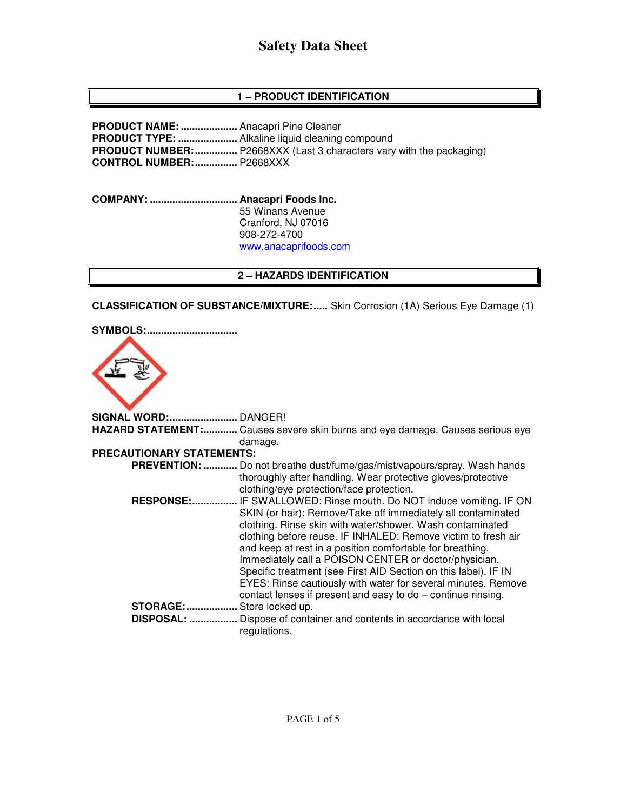## **1 – PRODUCT IDENTIFICATION**

**PRODUCT NAME: ....................** Anacapri Pine Cleaner **PRODUCT TYPE: .....................** Alkaline liquid cleaning compound **PRODUCT NUMBER: ...............** P2668XXX (Last 3 characters vary with the packaging) **CONTROL NUMBER: ...............** P2668XXX

**COMPANY: ............................... Anacapri Foods Inc.** 55 Winans Avenue Cranford, NJ 07016 908-272-4700 www.anacaprifoods.com

#### **2 – HAZARDS IDENTIFICATION**

**CLASSIFICATION OF SUBSTANCE/MIXTURE: .....** Skin Corrosion (1A) Serious Eye Damage (1)

**SYMBOLS: ................................** 



**SIGNAL WORD: ........................** DANGER! **HAZARD STATEMENT: ............** Causes severe skin burns and eye damage. Causes serious eye damage. **PRECAUTIONARY STATEMENTS: PREVENTION: ............** Do not breathe dust/fume/gas/mist/vapours/spray. Wash hands thoroughly after handling. Wear protective gloves/protective clothing/eye protection/face protection.  **RESPONSE: ................** IF SWALLOWED: Rinse mouth. Do NOT induce vomiting. IF ON SKIN (or hair): Remove/Take off immediately all contaminated clothing. Rinse skin with water/shower. Wash contaminated clothing before reuse. IF INHALED: Remove victim to fresh air and keep at rest in a position comfortable for breathing. Immediately call a POISON CENTER or doctor/physician. Specific treatment (see First AID Section on this label). IF IN EYES: Rinse cautiously with water for several minutes. Remove contact lenses if present and easy to do – continue rinsing. **STORAGE: ..................** Store locked up.  **DISPOSAL: .................** Dispose of container and contents in accordance with local regulations.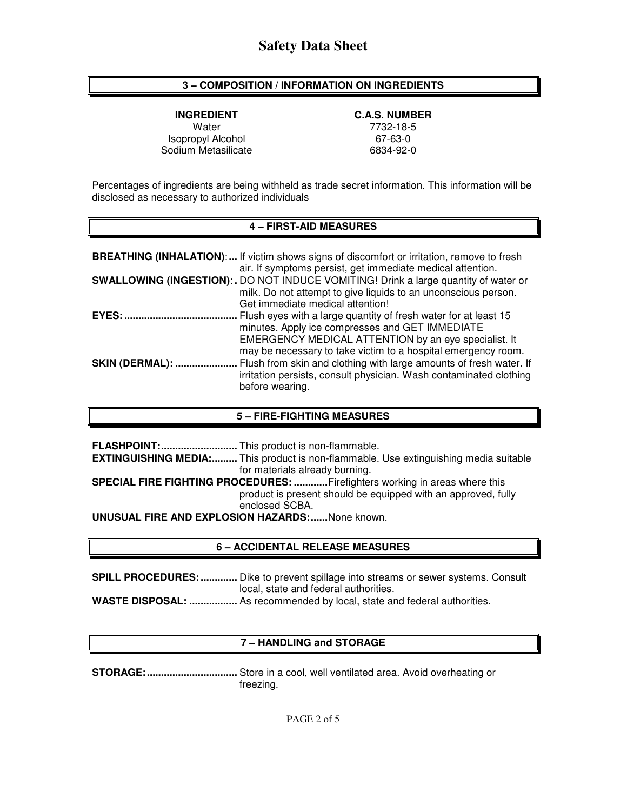### **3 – COMPOSITION / INFORMATION ON INGREDIENTS**

**INGREDIENT C.A.S. NUMBER** Isopropyl Alcohol 67-63-0<br>
Internal Codium Metasilicate 6834-92-0 Sodium Metasilicate

Water 7732-18-5<br>1732-18-5 opyl Alcohol 1990 1991 1992 1994 1995

Percentages of ingredients are being withheld as trade secret information. This information will be disclosed as necessary to authorized individuals

#### **4 – FIRST-AID MEASURES**

|                | <b>BREATHING (INHALATION):</b> If victim shows signs of discomfort or irritation, remove to fresh<br>air. If symptoms persist, get immediate medical attention.                                                              |
|----------------|------------------------------------------------------------------------------------------------------------------------------------------------------------------------------------------------------------------------------|
|                | SWALLOWING (INGESTION): . DO NOT INDUCE VOMITING! Drink a large quantity of water or<br>milk. Do not attempt to give liquids to an unconscious person.<br>Get immediate medical attention!                                   |
| EYES:          | Flush eyes with a large quantity of fresh water for at least 15<br>minutes. Apply ice compresses and GET IMMEDIATE<br>EMERGENCY MEDICAL ATTENTION by an eye specialist. It                                                   |
| SKIN (DERMAL): | may be necessary to take victim to a hospital emergency room.<br>Flush from skin and clothing with large amounts of fresh water. If<br>irritation persists, consult physician. Wash contaminated clothing<br>before wearing. |

#### **5 – FIRE-FIGHTING MEASURES**

|                                                        | <b>EXTINGUISHING MEDIA:</b> This product is non-flammable. Use extinguishing media suitable |  |  |
|--------------------------------------------------------|---------------------------------------------------------------------------------------------|--|--|
|                                                        | for materials already burning.                                                              |  |  |
|                                                        | <b>SPECIAL FIRE FIGHTING PROCEDURES: Firefighters working in areas where this</b>           |  |  |
|                                                        | product is present should be equipped with an approved, fully                               |  |  |
|                                                        | enclosed SCBA.                                                                              |  |  |
| <b>UNUSUAL FIRE AND EXPLOSION HAZARDS:</b> None known. |                                                                                             |  |  |

#### **6 – ACCIDENTAL RELEASE MEASURES**

| <b>SPILL PROCEDURES: </b> Dike to prevent spillage into streams or sewer systems. Consult |  |
|-------------------------------------------------------------------------------------------|--|
| local, state and federal authorities.                                                     |  |
| <b>WASTE DISPOSAL:  As recommended by local, state and federal authorities.</b>           |  |

### **7 – HANDLING and STORAGE**

**STORAGE: ................................** Store in a cool, well ventilated area. Avoid overheating or freezing.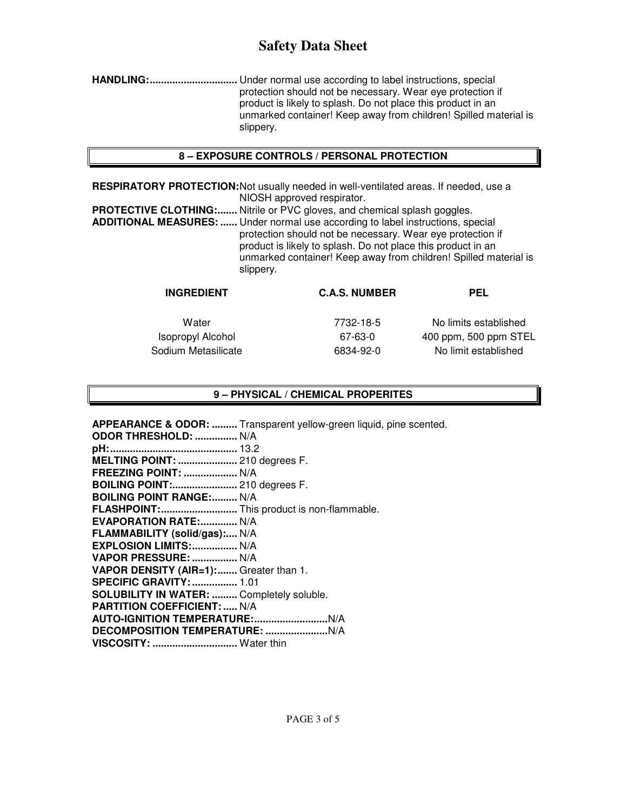**HANDLING: ...............................** Under normal use according to label instructions, special protection should not be necessary. Wear eye protection if product is likely to splash. Do not place this product in an unmarked container! Keep away from children! Spilled material is slippery.

### **8 – EXPOSURE CONTROLS / PERSONAL PROTECTION**

**RESPIRATORY PROTECTION:** Not usually needed in well-ventilated areas. If needed, use a NIOSH approved respirator.

**PROTECTIVE CLOTHING:.......** Nitrile or PVC gloves, and chemical splash goggles. **ADDITIONAL MEASURES: ......** Under normal use according to label instructions, special protection should not be necessary. Wear eye protection if product is likely to splash. Do not place this product in an unmarked container! Keep away from children! Spilled material is slippery.

| <b>INGREDIENT</b>        | <b>C.A.S. NUMBER</b> | <b>PEL</b>            |
|--------------------------|----------------------|-----------------------|
| Water                    | 7732-18-5            | No limits established |
| <b>Isopropyl Alcohol</b> | 67-63-0              | 400 ppm, 500 ppm STEL |
| Sodium Metasilicate      | 6834-92-0            | No limit established  |
|                          |                      |                       |

### **9 – PHYSICAL / CHEMICAL PROPERITES**

**APPEARANCE & ODOR: .........** Transparent yellow-green liquid, pine scented.

| <b>ODOR THRESHOLD:  N/A</b>                      |  |
|--------------------------------------------------|--|
|                                                  |  |
| MELTING POINT:  210 degrees F.                   |  |
| <b>FREEZING POINT:  N/A</b>                      |  |
| <b>BOILING POINT: 210 degrees F.</b>             |  |
| <b>BOILING POINT RANGE: N/A</b>                  |  |
| FLASHPOINT: This product is non-flammable.       |  |
| EVAPORATION RATE: N/A                            |  |
| FLAMMABILITY (solid/gas): N/A                    |  |
| EXPLOSION LIMITS:  N/A                           |  |
| VAPOR PRESSURE:  N/A                             |  |
| VAPOR DENSITY (AIR=1): Greater than 1.           |  |
| <b>SPECIFIC GRAVITY:  1.01</b>                   |  |
| <b>SOLUBILITY IN WATER:  Completely soluble.</b> |  |
| <b>PARTITION COEFFICIENT:  N/A</b>               |  |
|                                                  |  |
|                                                  |  |
| VISCOSITY:  Water thin                           |  |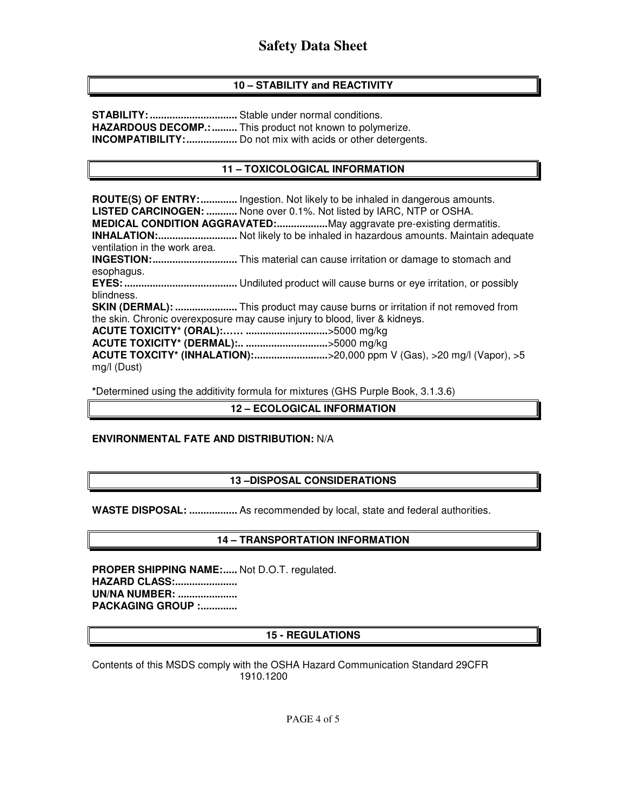# **10 – STABILITY and REACTIVITY**

**STABILITY: ...............................** Stable under normal conditions. **HAZARDOUS DECOMP.: .........** This product not known to polymerize. **INCOMPATIBILITY: ..................** Do not mix with acids or other detergents.

### **11 – TOXICOLOGICAL INFORMATION**

**ROUTE(S) OF ENTRY: .............** Ingestion. Not likely to be inhaled in dangerous amounts. **LISTED CARCINOGEN: ...........** None over 0.1%. Not listed by IARC, NTP or OSHA. **MEDICAL CONDITION AGGRAVATED: ..................** May aggravate pre-existing dermatitis. **INHALATION: ............................** Not likely to be inhaled in hazardous amounts. Maintain adequate ventilation in the work area. **INGESTION: ..............................** This material can cause irritation or damage to stomach and esophagus. **EYES: ........................................** Undiluted product will cause burns or eye irritation, or possibly blindness. **SKIN (DERMAL): ......................** This product may cause burns or irritation if not removed from the skin. Chronic overexposure may cause injury to blood, liver & kidneys. **ACUTE TOXICITY\* (ORAL):…… .............................** >5000 mg/kg **ACUTE TOXICITY\* (DERMAL):.. .............................** >5000 mg/kg **ACUTE TOXCITY\* (INHALATION):................................>20,000 ppm V (Gas), >20 mg/l (Vapor), >5** mg/l (Dust)

**\***Determined using the additivity formula for mixtures (GHS Purple Book, 3.1.3.6)

#### **12 – ECOLOGICAL INFORMATION**

#### **ENVIRONMENTAL FATE AND DISTRIBUTION:** N/A

#### **13 –DISPOSAL CONSIDERATIONS**

**WASTE DISPOSAL: .................** As recommended by local, state and federal authorities.

## **14 – TRANSPORTATION INFORMATION**

PROPER SHIPPING NAME:..... Not D.O.T. regulated. **HAZARD CLASS:...................... UN/NA NUMBER: ..................... PACKAGING GROUP :.............** 

#### **15 - REGULATIONS**

Contents of this MSDS comply with the OSHA Hazard Communication Standard 29CFR 1910.1200